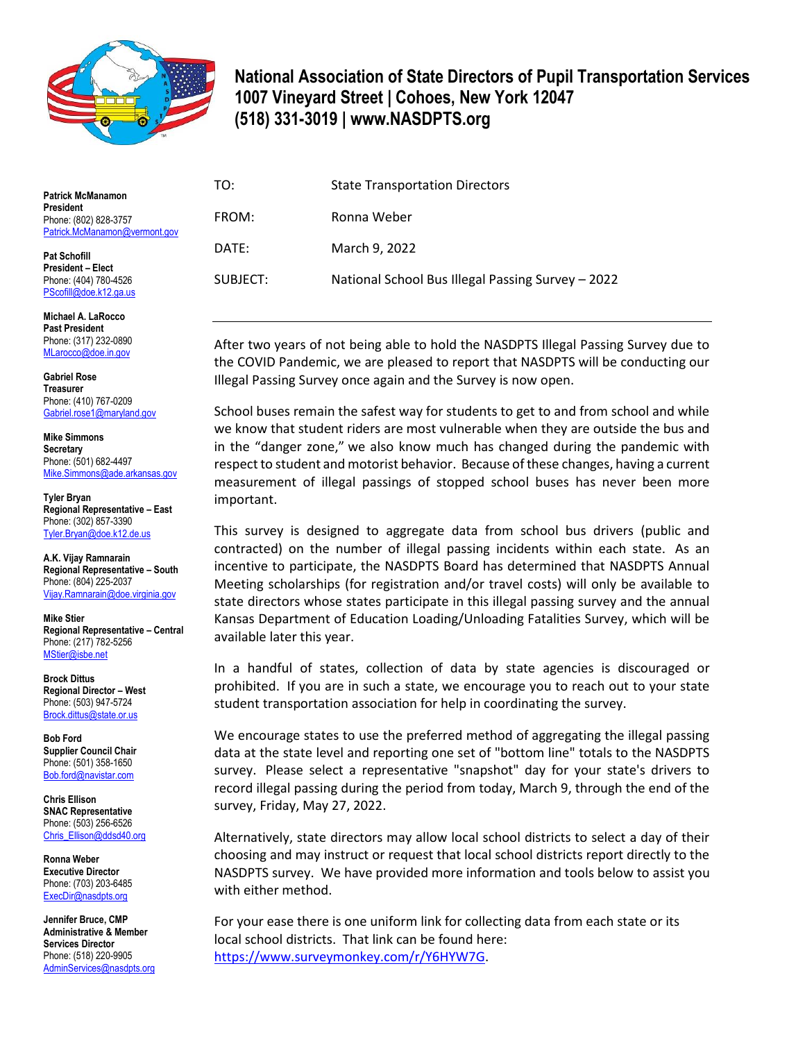

## **National Association of State Directors of Pupil Transportation Services 1007 Vineyard Street | Cohoes, New York 12047 (518) 331-3019 | www.NASDPTS.org**

| <b>Patrick McManamon</b>                                                   | TO:      | <b>State Transportation Directors</b>             |
|----------------------------------------------------------------------------|----------|---------------------------------------------------|
| <b>President</b><br>Phone: (802) 828-3757<br>Patrick.McManamon@vermont.gov | FROM:    | Ronna Weber                                       |
| <b>Pat Schofill</b><br><b>President - Elect</b><br>Phone: (404) 780-4526   | DATE:    | March 9, 2022                                     |
|                                                                            | SUBJECT: | National School Bus Illegal Passing Survey - 2022 |

After two years of not being able to hold the NASDPTS Illegal Passing Survey due to the COVID Pandemic, we are pleased to report that NASDPTS will be conducting our Illegal Passing Survey once again and the Survey is now open.

School buses remain the safest way for students to get to and from school and while we know that student riders are most vulnerable when they are outside the bus and in the "danger zone," we also know much has changed during the pandemic with respect to student and motorist behavior. Because of these changes, having a current measurement of illegal passings of stopped school buses has never been more important.

This survey is designed to aggregate data from school bus drivers (public and contracted) on the number of illegal passing incidents within each state. As an incentive to participate, the NASDPTS Board has determined that NASDPTS Annual Meeting scholarships (for registration and/or travel costs) will only be available to state directors whose states participate in this illegal passing survey and the annual Kansas Department of Education Loading/Unloading Fatalities Survey, which will be available later this year.

In a handful of states, collection of data by state agencies is discouraged or prohibited. If you are in such a state, we encourage you to reach out to your state student transportation association for help in coordinating the survey.

We encourage states to use the preferred method of aggregating the illegal passing data at the state level and reporting one set of "bottom line" totals to the NASDPTS survey. Please select a representative "snapshot" day for your state's drivers to record illegal passing during the period from today, March 9, through the end of the survey, Friday, May 27, 2022.

Alternatively, state directors may allow local school districts to select a day of their choosing and may instruct or request that local school districts report directly to the NASDPTS survey. We have provided more information and tools below to assist you with either method.

For your ease there is one uniform link for collecting data from each state or its local school districts. That link can be found here: [https://www.surveymonkey.com/r/Y6HYW7G.](https://www.surveymonkey.com/r/Y6HYW7G)

[PScofill@doe.k12.ga.us](mailto:PScofill@doe.k12.ga.us)

**Michael A. LaRocco Past President** Phone: (317) 232-0890 [MLarocco@doe.in.gov](mailto:MLarocco@doe.in.gov)

**Gabriel Rose Treasurer** Phone: (410) 767-0209 [Gabriel.rose1@maryland.gov](mailto:Gabriel.rose1@maryland.gov)

**Mike Simmons Secretary** Phone: (501) 682-4497 [Mike.Simmons@ade.arkansas.gov](mailto:Mike.Simmons@ade.arkansas.gov)

**Tyler Bryan Regional Representative – East** Phone: (302) 857-3390 [Tyler.Bryan@doe.k12.de.us](mailto:Tyler.Bryan@doe.k12.de.us)

**A.K. Vijay Ramnarain Regional Representative – South** Phone: (804) 225-2037 [Vijay.Ramnarain@doe.virginia.gov](mailto:Vijay.Ramnarain@doe.virginia.gov)

**Mike Stier Regional Representative – Central** Phone: (217) 782-5256 [MStier@isbe.net](mailto:MStier@isbe.net)

**Brock Dittus Regional Director – West** Phone: (503) 947-5724 [Brock.dittus@state.or.us](mailto:Brock.dittus@state.or.us)

**Bob Ford Supplier Council Chair** Phone: (501) 358-1650 [Bob.ford@navistar.com](mailto:Bob.ford@navistar.com)

**Chris Ellison SNAC Representative** Phone: (503) 256-6526 [Chris\\_Ellison@ddsd40.org](mailto:Chris_Ellison@ddsd40.org)

**Ronna Weber Executive Director** Phone: (703) 203-6485 [ExecDir@nasdpts.org](mailto:ExecDir@nasdpts.org)

**Jennifer Bruce, CMP Administrative & Member Services Director** Phone: (518) 220-9905 [AdminServices@nasdpts.org](mailto:AdminServices@nasdpts.org)